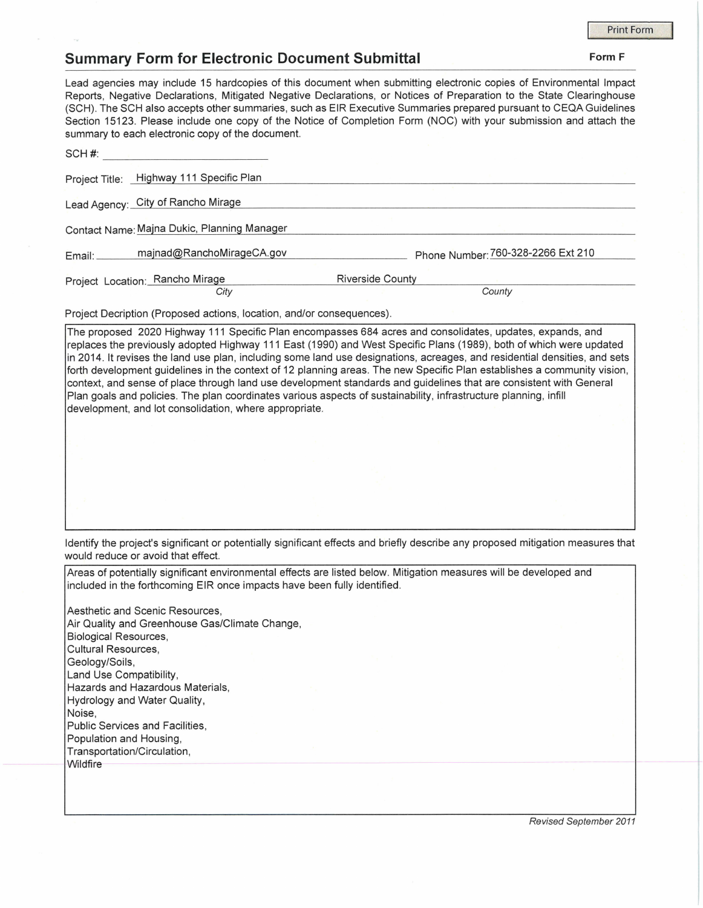## **Summary Form for Electronic Document Submittal Form F Form F Form F**

Lead agencies may include 15 hardcopies of this document when submitting electronic copies of Environmental Impact Reports, Negative Declarations, Mitigated Negative Declarations, or Notices of Preparation to the State Clearinghouse (SCH). The SCH also accepts other summaries, such as EIR Executive Summaries prepared pursuant to CEQA Guidelines Section 15123. Please include one copy of the Notice of Completion Form (NOC) with your submission and attach the summary to each electronic copy of the document.

| SCH#:                           |                                             |                                    |  |
|---------------------------------|---------------------------------------------|------------------------------------|--|
|                                 | Project Title: Highway 111 Specific Plan    |                                    |  |
|                                 | Lead Agency: City of Rancho Mirage          |                                    |  |
|                                 | Contact Name: Majna Dukic, Planning Manager |                                    |  |
| Email:                          | majnad@RanchoMirageCA.gov                   | Phone Number: 760-328-2266 Ext 210 |  |
| Project Location: Rancho Mirage |                                             | <b>Riverside County</b>            |  |
|                                 | City                                        | County                             |  |

Project Decription (Proposed actions, location, and/or consequences).

The proposed 2020 Highway 111 Specific Plan encompasses 684 acres and consolidates, updates, expands, and replaces the previously adopted Highway 111 East (1990) and West Specific Plans (1989), both of which were updated in 2014. It revises the land use plan, including some land use designations, acreages, and residential densities, and sets forth development guidelines in the context of 12 planning areas. The new Specific Plan establishes a community vision, context, and sense of place through land use development standards and guidelines that are consistent with General Plan goals and policies. The plan coordinates various aspects of sustainability, infrastructure planning, infill development, and lot consolidation, where appropriate.

Identify the project's significant or potentially significant effects and briefly describe any proposed mitigation measures that would reduce or avoid that effect.

Areas of potentially significant environmental effects are listed below. Mitigation measures will be developed and included in the forthcoming EIR once impacts have been fully identified.

Aesthetic and Scenic Resources, Air Quality and Greenhouse Gas/Climate Change, Biological Resources, Cultural Resources, Geology/Soils, Land Use Compatibility, Hazards and Hazardous Materials, Hydrology and Water Quality, Noise, Public Services and Facilities, Population and Housing, Transportation/Circulation, Wildfire

Revised September 2011